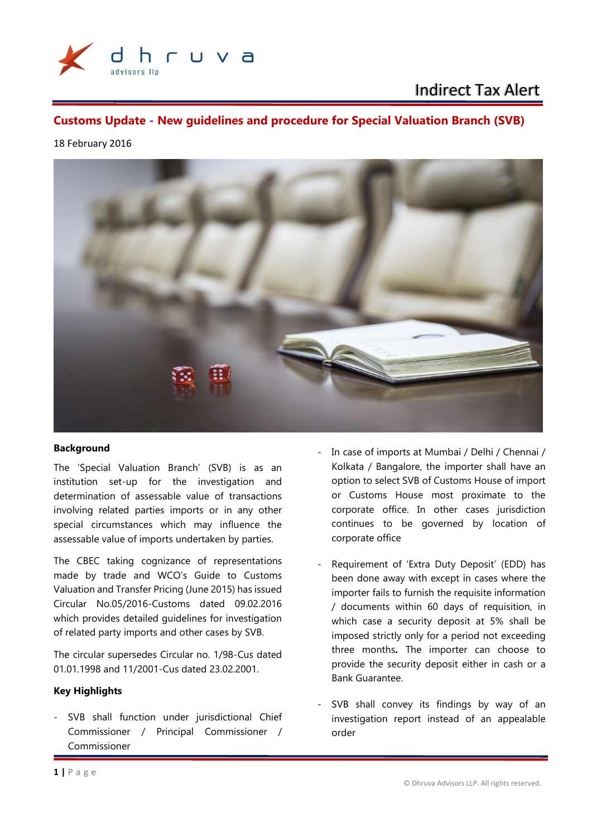

Indirect Tax Alert

**Customs Update - New guidelines and procedure for Special Valuation Branch (SVB)**

### 18 February 2016



### **Background**

The 'Special Valuation Branch' (SVB) is as an institution set-up for the investigation and determination of assessable value of transactions involving related parties imports or in any other special circumstances which may influence the assessable value of imports undertaken by parties.

The CBEC taking cognizance of representations made by trade and WCO's Guide to Customs Valuation and Transfer Pricing (June 2015) has issued Circular No.05/2016-Customs dated 09.02.2016 which provides detailed guidelines for investigation of related party imports and other cases by SVB.

The circular supersedes Circular no. 1/98-Cus dated 01.01.1998 and 11/2001-Cus dated 23.02.2001.

### **Key Highlights**

- SVB shall function under jurisdictional Chief Commissioner / Principal Commissioner / Commissioner

- In case of imports at Mumbai / Delhi / Chennai / Kolkata / Bangalore, the importer shall have an option to select SVB of Customs House of import or Customs House most proximate to the corporate office. In other cases jurisdiction continues to be governed by location of corporate office
- Requirement of 'Extra Duty Deposit' (EDD) has been done away with except in cases where the importer fails to furnish the requisite information / documents within 60 days of requisition, in which case a security deposit at 5% shall be imposed strictly only for a period not exceeding three months**.** The importer can choose to provide the security deposit either in cash or a Bank Guarantee.
- SVB shall convey its findings by way of an investigation report instead of an appealable order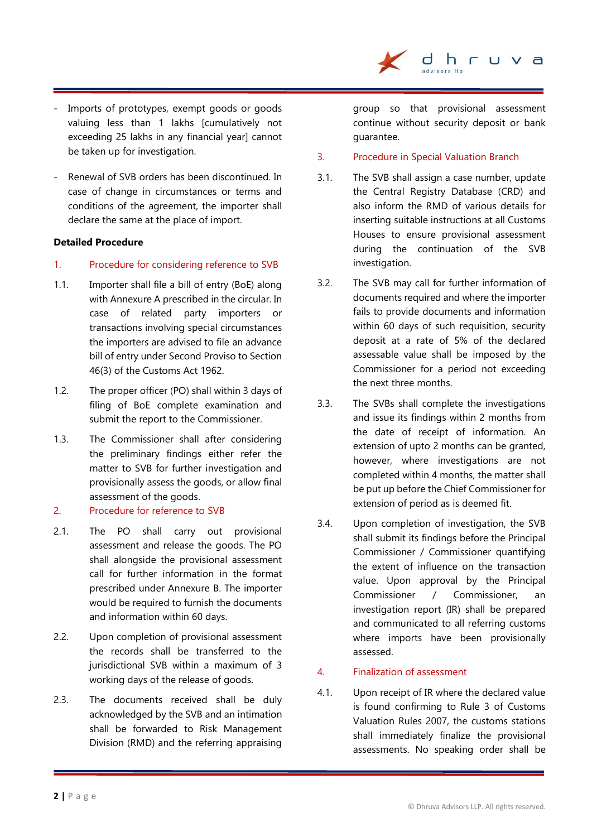- Imports of prototypes, exempt goods or goods valuing less than 1 lakhs [cumulatively not exceeding 25 lakhs in any financial yearl cannot be taken up for investigation.
- Renewal of SVB orders has been discontinued. In case of change in circumstances or terms and conditions of the agreement, the importer shall declare the same at the place of import.

### **Detailed Procedure**

- 1. Procedure for considering reference to SVB
- 1.1. Importer shall file a bill of entry (BoE) along with Annexure A prescribed in the circular. In case of related party importers or transactions involving special circumstances the importers are advised to file an advance bill of entry under Second Proviso to Section 46(3) of the Customs Act 1962.
- 1.2. The proper officer (PO) shall within 3 days of filing of BoE complete examination and submit the report to the Commissioner.
- 1.3. The Commissioner shall after considering the preliminary findings either refer the matter to SVB for further investigation and provisionally assess the goods, or allow final assessment of the goods.
- 2. Procedure for reference to SVB
- 2.1. The PO shall carry out provisional assessment and release the goods. The PO shall alongside the provisional assessment call for further information in the format prescribed under Annexure B. The importer would be required to furnish the documents and information within 60 days.
- 2.2. Upon completion of provisional assessment the records shall be transferred to the jurisdictional SVB within a maximum of 3 working days of the release of goods.
- 2.3. The documents received shall be duly acknowledged by the SVB and an intimation shall be forwarded to Risk Management Division (RMD) and the referring appraising

group so that provisional assessment continue without security deposit or bank guarantee.

- 3. Procedure in Special Valuation Branch
- 3.1. The SVB shall assign a case number, update the Central Registry Database (CRD) and also inform the RMD of various details for inserting suitable instructions at all Customs Houses to ensure provisional assessment during the continuation of the SVB investigation.
- 3.2. The SVB may call for further information of documents required and where the importer fails to provide documents and information within 60 days of such requisition, security deposit at a rate of 5% of the declared assessable value shall be imposed by the Commissioner for a period not exceeding the next three months.
- 3.3. The SVBs shall complete the investigations and issue its findings within 2 months from the date of receipt of information. An extension of upto 2 months can be granted, however, where investigations are not completed within 4 months, the matter shall be put up before the Chief Commissioner for extension of period as is deemed fit.
- 3.4. Upon completion of investigation, the SVB shall submit its findings before the Principal Commissioner / Commissioner quantifying the extent of influence on the transaction value. Upon approval by the Principal Commissioner / Commissioner, an investigation report (IR) shall be prepared and communicated to all referring customs where imports have been provisionally assessed.
- 4. Finalization of assessment
- 4.1. Upon receipt of IR where the declared value is found confirming to Rule 3 of Customs Valuation Rules 2007, the customs stations shall immediately finalize the provisional assessments. No speaking order shall be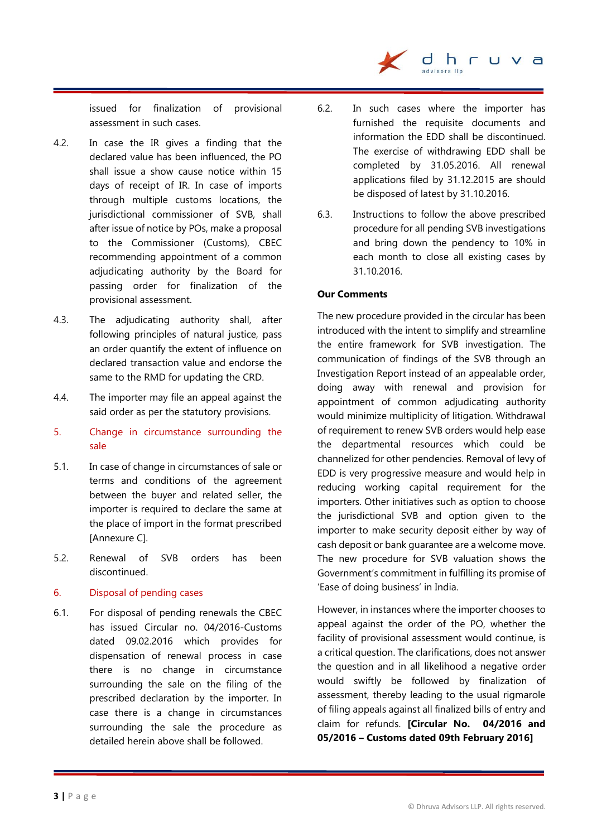issued for finalization of provisional assessment in such cases.

- 4.2. In case the IR gives a finding that the declared value has been influenced, the PO shall issue a show cause notice within 15 days of receipt of IR. In case of imports through multiple customs locations, the jurisdictional commissioner of SVB, shall after issue of notice by POs, make a proposal to the Commissioner (Customs), CBEC recommending appointment of a common adjudicating authority by the Board for passing order for finalization of the provisional assessment.
- 4.3. The adjudicating authority shall, after following principles of natural justice, pass an order quantify the extent of influence on declared transaction value and endorse the same to the RMD for updating the CRD.
- 4.4. The importer may file an appeal against the said order as per the statutory provisions.
- 5. Change in circumstance surrounding the sale
- 5.1. In case of change in circumstances of sale or terms and conditions of the agreement between the buyer and related seller, the importer is required to declare the same at the place of import in the format prescribed [Annexure C].
- 5.2. Renewal of SVB orders has been discontinued.

### 6. Disposal of pending cases

6.1. For disposal of pending renewals the CBEC has issued Circular no. 04/2016-Customs dated 09.02.2016 which provides for dispensation of renewal process in case there is no change in circumstance surrounding the sale on the filing of the prescribed declaration by the importer. In case there is a change in circumstances surrounding the sale the procedure as detailed herein above shall be followed.

6.2. In such cases where the importer has furnished the requisite documents and information the EDD shall be discontinued. The exercise of withdrawing EDD shall be completed by 31.05.2016. All renewal applications filed by 31.12.2015 are should be disposed of latest by 31.10.2016.

dhr

 $\overline{\mathbf{d}}$ 

6.3. Instructions to follow the above prescribed procedure for all pending SVB investigations and bring down the pendency to 10% in each month to close all existing cases by 31.10.2016.

### **Our Comments**

The new procedure provided in the circular has been introduced with the intent to simplify and streamline the entire framework for SVB investigation. The communication of findings of the SVB through an Investigation Report instead of an appealable order, doing away with renewal and provision for appointment of common adjudicating authority would minimize multiplicity of litigation. Withdrawal of requirement to renew SVB orders would help ease the departmental resources which could be channelized for other pendencies. Removal of levy of EDD is very progressive measure and would help in reducing working capital requirement for the importers. Other initiatives such as option to choose the jurisdictional SVB and option given to the importer to make security deposit either by way of cash deposit or bank guarantee are a welcome move. The new procedure for SVB valuation shows the Government's commitment in fulfilling its promise of 'Ease of doing business' in India.

However, in instances where the importer chooses to appeal against the order of the PO, whether the facility of provisional assessment would continue, is a critical question. The clarifications, does not answer the question and in all likelihood a negative order would swiftly be followed by finalization of assessment, thereby leading to the usual rigmarole of filing appeals against all finalized bills of entry and claim for refunds. **[Circular No. 04/2016 and 05/2016 – Customs dated 09th February 2016]**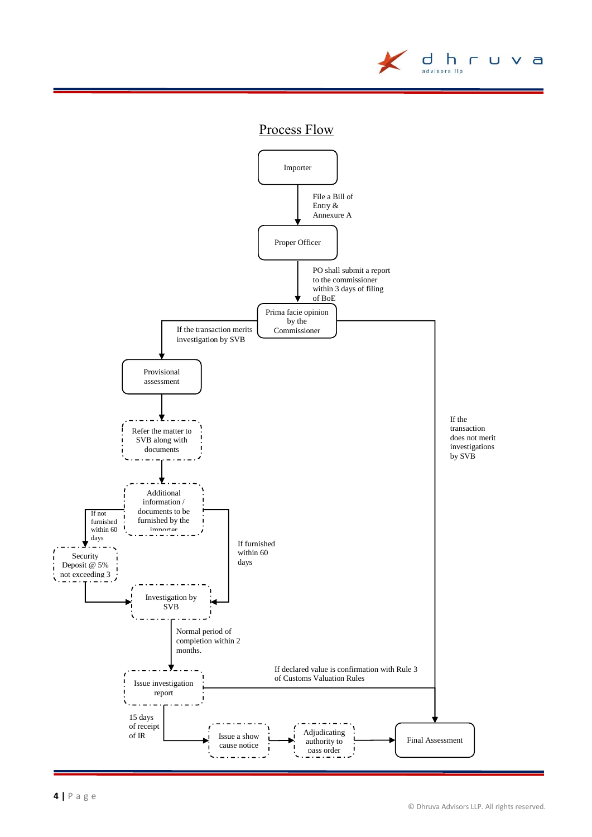

# Process Flow